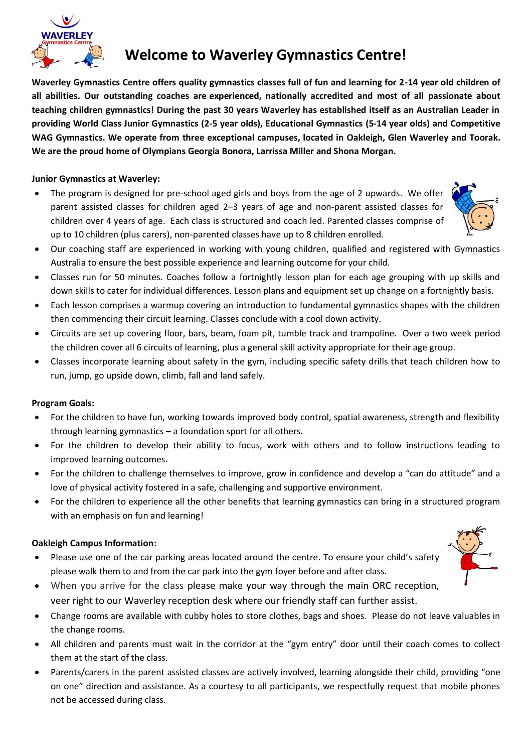

# **Welcome to Waverley Gymnastics Centre!**

**Waverley Gymnastics Centre offers quality gymnastics classes full of fun and learning for 2-14 year old children of all abilities. Our outstanding coaches are experienced, nationally accredited and most of all passionate about teaching children gymnastics! During the past 30 years Waverley has established itself as an Australian Leader in providing World Class Junior Gymnastics (2-5 year olds), Educational Gymnastics (5-14 year olds) and Competitive WAG Gymnastics. We operate from three exceptional campuses, located in Oakleigh, Glen Waverley and Toorak. We are the proud home of Olympians Georgia Bonora, Larrissa Miller and Shona Morgan.**

## **Junior Gymnastics at Waverley:**

The program is designed for pre-school aged girls and boys from the age of 2 upwards. We offer parent assisted classes for children aged 2–3 years of age and non-parent assisted classes for children over 4 years of age. Each class is structured and coach led. Parented classes comprise of up to 10 children (plus carers), non-parented classes have up to 8 children enrolled.



- Our coaching staff are experienced in working with young children, qualified and registered with Gymnastics Australia to ensure the best possible experience and learning outcome for your child.
- Classes run for 50 minutes. Coaches follow a fortnightly lesson plan for each age grouping with up skills and down skills to cater for individual differences. Lesson plans and equipment set up change on a fortnightly basis.
- Each lesson comprises a warmup covering an introduction to fundamental gymnastics shapes with the children then commencing their circuit learning. Classes conclude with a cool down activity.
- Circuits are set up covering floor, bars, beam, foam pit, tumble track and trampoline. Over a two week period the children cover all 6 circuits of learning, plus a general skill activity appropriate for their age group.
- Classes incorporate learning about safety in the gym, including specific safety drills that teach children how to run, jump, go upside down, climb, fall and land safely.

### **Program Goals:**

- For the children to have fun, working towards improved body control, spatial awareness, strength and flexibility through learning gymnastics – a foundation sport for all others.
- For the children to develop their ability to focus, work with others and to follow instructions leading to improved learning outcomes.
- For the children to challenge themselves to improve, grow in confidence and develop a "can do attitude" and a love of physical activity fostered in a safe, challenging and supportive environment.
- For the children to experience all the other benefits that learning gymnastics can bring in a structured program with an emphasis on fun and learning!

### **Oakleigh Campus Information:**

- Please use one of the car parking areas located around the centre. To ensure your child's safety please walk them to and from the car park into the gym foyer before and after class.
- When you arrive for the class please make your way through the main ORC reception, veer right to our Waverley reception desk where our friendly staff can further assist.
- Change rooms are available with cubby holes to store clothes, bags and shoes. Please do not leave valuables in the change rooms.
- All children and parents must wait in the corridor at the "gym entry" door until their coach comes to collect them at the start of the class.
- Parents/carers in the parent assisted classes are actively involved, learning alongside their child, providing "one on one" direction and assistance. As a courtesy to all participants, we respectfully request that mobile phones not be accessed during class.